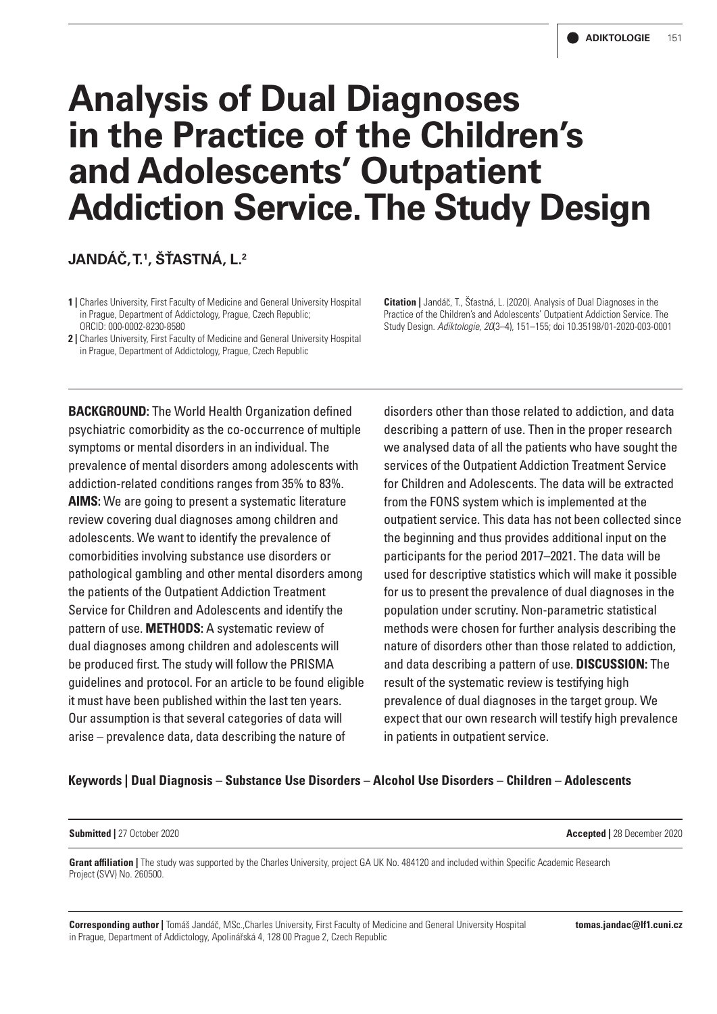# **Analysis of Dual Diagnoses in the Practice of the Children's and Adolescents' Outpatient Addiction Service. The Study Design**

# **JANDÁČ, T.1 , ŠŤASTNÁ, L.2**

**1 |** Charles University, First Faculty of Medicine and General University Hospital in Prague, Department of Addictology, Prague, Czech Republic; ORCID: 000-0002-8230-8580

**2 |** Charles University, First Faculty of Medicine and General University Hospital in Prague, Department of Addictology, Prague, Czech Republic

**Citation |** Jandáč, T., Šťastná, L. (2020). Analysis of Dual Diagnoses in the Practice of the Children's and Adolescents' Outpatient Addiction Service. The Study Design. *Adiktologie, 20*(3–4), 151–155; doi 10.35198/01-2020-003-0001

**BACKGROUND:** The World Health Organization defined psychiatric comorbidity as the co-occurrence of multiple symptoms or mental disorders in an individual. The prevalence of mental disorders among adolescents with addiction-related conditions ranges from 35% to 83%. **AIMS:** We are going to present a systematic literature review covering dual diagnoses among children and adolescents. We want to identify the prevalence of comorbidities involving substance use disorders or pathological gambling and other mental disorders among the patients of the Outpatient Addiction Treatment Service for Children and Adolescents and identify the pattern of use. **METHODS:** A systematic review of dual diagnoses among children and adolescents will be produced first. The study will follow the PRISMA guidelines and protocol. For an article to be found eligible it must have been published within the last ten years. Our assumption is that several categories of data will arise – prevalence data, data describing the nature of

disorders other than those related to addiction, and data describing a pattern of use. Then in the proper research we analysed data of all the patients who have sought the services of the Outpatient Addiction Treatment Service for Children and Adolescents. The data will be extracted from the FONS system which is implemented at the outpatient service. This data has not been collected since the beginning and thus provides additional input on the participants for the period 2017–2021. The data will be used for descriptive statistics which will make it possible for us to present the prevalence of dual diagnoses in the population under scrutiny. Non-parametric statistical methods were chosen for further analysis describing the nature of disorders other than those related to addiction, and data describing a pattern of use. **DISCUSSION:** The result of the systematic review is testifying high prevalence of dual diagnoses in the target group. We expect that our own research will testify high prevalence in patients in outpatient service.

#### **Keywords | Dual Diagnosis – Substance Use Disorders – Alcohol Use Disorders – Children – Adolescents**

**Submitted |** 27 October 2020 **Accepted |** 28 December 2020

**Grant affiliation |** The study was supported by the Charles University, project GA UK No. 484120 and included within Specific Academic Research Project (SVV) No. 260500.

**Corresponding author |** Tomáš Jandáč, MSc.,Charles University, First Faculty of Medicine and General University Hospital in Prague, Department of Addictology, Apolinářská 4, 128 00 Prague 2, Czech Republic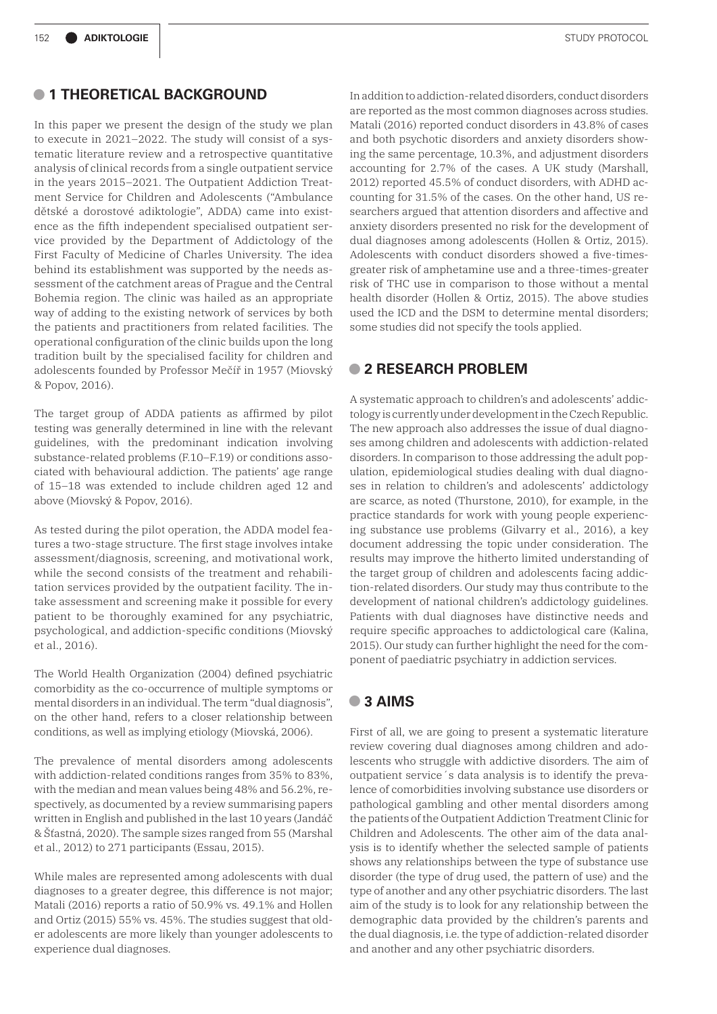#### **• 1 THEORETICAL BACKGROUND**

In this paper we present the design of the study we plan to execute in 2021–2022. The study will consist of a systematic literature review and a retrospective quantitative analysis of clinical records from a single outpatient service in the years 2015–2021. The Outpatient Addiction Treatment Service for Children and Adolescents ("Ambulance dětské a dorostové adiktologie", ADDA) came into existence as the fifth independent specialised outpatient service provided by the Department of Addictology of the First Faculty of Medicine of Charles University. The idea behind its establishment was supported by the needs assessment of the catchment areas of Prague and the Central Bohemia region. The clinic was hailed as an appropriate way of adding to the existing network of services by both the patients and practitioners from related facilities. The operational configuration of the clinic builds upon the long tradition built by the specialised facility for children and adolescents founded by Professor Mečíř in 1957 (Miovský & Popov, 2016).

The target group of ADDA patients as affirmed by pilot testing was generally determined in line with the relevant guidelines, with the predominant indication involving substance-related problems (F.10–F.19) or conditions associated with behavioural addiction. The patients' age range of 15–18 was extended to include children aged 12 and above (Miovský & Popov, 2016).

As tested during the pilot operation, the ADDA model features a two-stage structure. The first stage involves intake assessment/diagnosis, screening, and motivational work, while the second consists of the treatment and rehabilitation services provided by the outpatient facility. The intake assessment and screening make it possible for every patient to be thoroughly examined for any psychiatric, psychological, and addiction-specific conditions (Miovský et al., 2016).

The World Health Organization (2004) defined psychiatric comorbidity as the co-occurrence of multiple symptoms or mental disorders in an individual. The term "dual diagnosis", on the other hand, refers to a closer relationship between conditions, as well as implying etiology (Miovská, 2006).

The prevalence of mental disorders among adolescents with addiction-related conditions ranges from 35% to 83%, with the median and mean values being 48% and 56.2%, respectively, as documented by a review summarising papers written in English and published in the last 10 years (Jandáč & Šťastná, 2020). The sample sizes ranged from 55 (Marshal et al., 2012) to 271 participants (Essau, 2015).

While males are represented among adolescents with dual diagnoses to a greater degree, this difference is not major; Matali (2016) reports a ratio of 50.9% vs. 49.1% and Hollen and Ortiz (2015) 55% vs. 45%. The studies suggest that older adolescents are more likely than younger adolescents to experience dual diagnoses.

In addition to addiction-related disorders, conduct disorders are reported as the most common diagnoses across studies. Matali (2016) reported conduct disorders in 43.8% of cases and both psychotic disorders and anxiety disorders showing the same percentage, 10.3%, and adjustment disorders accounting for 2.7% of the cases. A UK study (Marshall, 2012) reported 45.5% of conduct disorders, with ADHD accounting for 31.5% of the cases. On the other hand, US researchers argued that attention disorders and affective and anxiety disorders presented no risk for the development of dual diagnoses among adolescents (Hollen & Ortiz, 2015). Adolescents with conduct disorders showed a five-timesgreater risk of amphetamine use and a three-times-greater risk of THC use in comparison to those without a mental health disorder (Hollen & Ortiz, 2015). The above studies used the ICD and the DSM to determine mental disorders; some studies did not specify the tools applied.

### **• 2 RESEARCH PROBLEM**

A systematic approach to children's and adolescents' addictology is currently under development in the Czech Republic. The new approach also addresses the issue of dual diagnoses among children and adolescents with addiction-related disorders. In comparison to those addressing the adult population, epidemiological studies dealing with dual diagnoses in relation to children's and adolescents' addictology are scarce, as noted (Thurstone, 2010), for example, in the practice standards for work with young people experiencing substance use problems (Gilvarry et al., 2016), a key document addressing the topic under consideration. The results may improve the hitherto limited understanding of the target group of children and adolescents facing addiction-related disorders. Our study may thus contribute to the development of national children's addictology guidelines. Patients with dual diagnoses have distinctive needs and require specific approaches to addictological care (Kalina, 2015). Our study can further highlight the need for the component of paediatric psychiatry in addiction services.

# **• 3 AIMS**

First of all, we are going to present a systematic literature review covering dual diagnoses among children and adolescents who struggle with addictive disorders. The aim of outpatient service´s data analysis is to identify the prevalence of comorbidities involving substance use disorders or pathological gambling and other mental disorders among the patients of the Outpatient Addiction Treatment Clinic for Children and Adolescents. The other aim of the data analysis is to identify whether the selected sample of patients shows any relationships between the type of substance use disorder (the type of drug used, the pattern of use) and the type of another and any other psychiatric disorders. The last aim of the study is to look for any relationship between the demographic data provided by the children's parents and the dual diagnosis, i.e. the type of addiction-related disorder and another and any other psychiatric disorders.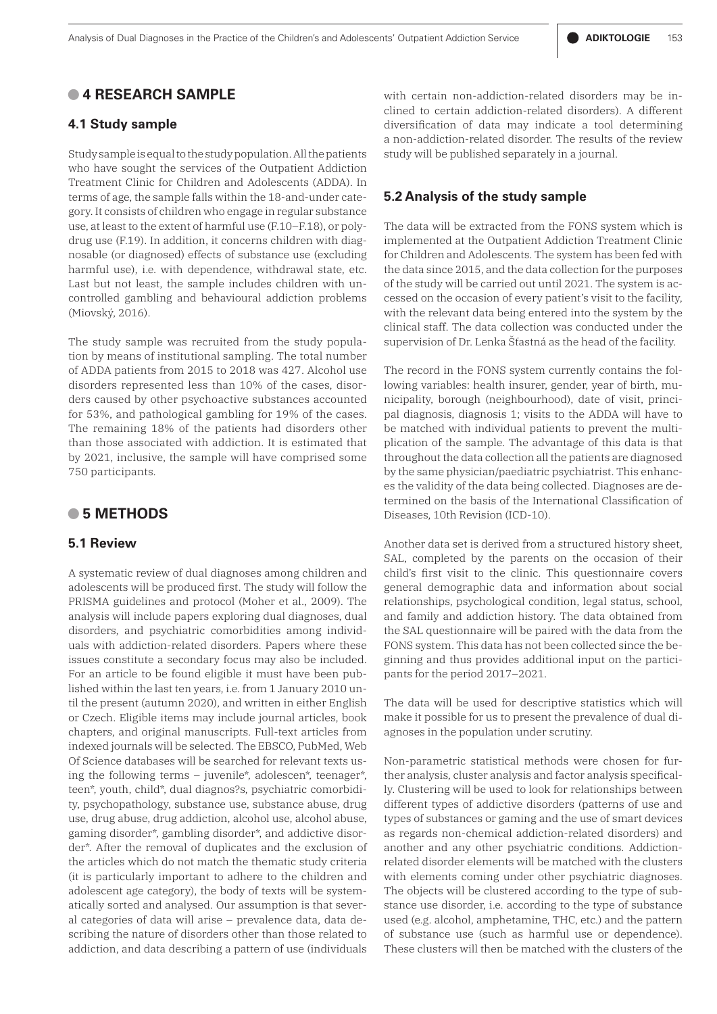# **• 4 RESEARCH SAMPLE**

#### **4.1 Study sample**

Study sample is equal to the study population. All the patients who have sought the services of the Outpatient Addiction Treatment Clinic for Children and Adolescents (ADDA). In terms of age, the sample falls within the 18-and-under category. It consists of children who engage in regular substance use, at least to the extent of harmful use (F.10–F.18), or polydrug use (F.19). In addition, it concerns children with diagnosable (or diagnosed) effects of substance use (excluding harmful use), i.e. with dependence, withdrawal state, etc. Last but not least, the sample includes children with uncontrolled gambling and behavioural addiction problems (Miovský, 2016).

The study sample was recruited from the study population by means of institutional sampling. The total number of ADDA patients from 2015 to 2018 was 427. Alcohol use disorders represented less than 10% of the cases, disorders caused by other psychoactive substances accounted for 53%, and pathological gambling for 19% of the cases. The remaining 18% of the patients had disorders other than those associated with addiction. It is estimated that by 2021, inclusive, the sample will have comprised some 750 participants.

#### **• 5 METHODS**

#### **5.1 Review**

A systematic review of dual diagnoses among children and adolescents will be produced first. The study will follow the PRISMA guidelines and protocol (Moher et al., 2009). The analysis will include papers exploring dual diagnoses, dual disorders, and psychiatric comorbidities among individuals with addiction-related disorders. Papers where these issues constitute a secondary focus may also be included. For an article to be found eligible it must have been published within the last ten years, i.e. from 1 January 2010 until the present (autumn 2020), and written in either English or Czech. Eligible items may include journal articles, book chapters, and original manuscripts. Full-text articles from indexed journals will be selected. The EBSCO, PubMed, Web Of Science databases will be searched for relevant texts using the following terms – juvenile\*, adolescen\*, teenager\*, teen\*, youth, child\*, dual diagnos?s, psychiatric comorbidity, psychopathology, substance use, substance abuse, drug use, drug abuse, drug addiction, alcohol use, alcohol abuse, gaming disorder\*, gambling disorder\*, and addictive disorder\*. After the removal of duplicates and the exclusion of the articles which do not match the thematic study criteria (it is particularly important to adhere to the children and adolescent age category), the body of texts will be systematically sorted and analysed. Our assumption is that several categories of data will arise – prevalence data, data describing the nature of disorders other than those related to addiction, and data describing a pattern of use (individuals

with certain non-addiction-related disorders may be inclined to certain addiction-related disorders). A different diversification of data may indicate a tool determining a non-addiction-related disorder. The results of the review study will be published separately in a journal.

#### **5.2 Analysis of the study sample**

The data will be extracted from the FONS system which is implemented at the Outpatient Addiction Treatment Clinic for Children and Adolescents. The system has been fed with the data since 2015, and the data collection for the purposes of the study will be carried out until 2021. The system is accessed on the occasion of every patient's visit to the facility, with the relevant data being entered into the system by the clinical staff. The data collection was conducted under the supervision of Dr. Lenka Šťastná as the head of the facility.

The record in the FONS system currently contains the following variables: health insurer, gender, year of birth, municipality, borough (neighbourhood), date of visit, principal diagnosis, diagnosis 1; visits to the ADDA will have to be matched with individual patients to prevent the multiplication of the sample. The advantage of this data is that throughout the data collection all the patients are diagnosed by the same physician/paediatric psychiatrist. This enhances the validity of the data being collected. Diagnoses are determined on the basis of the International Classification of Diseases, 10th Revision (ICD-10).

Another data set is derived from a structured history sheet, SAL, completed by the parents on the occasion of their child's first visit to the clinic. This questionnaire covers general demographic data and information about social relationships, psychological condition, legal status, school, and family and addiction history. The data obtained from the SAL questionnaire will be paired with the data from the FONS system. This data has not been collected since the beginning and thus provides additional input on the participants for the period 2017–2021.

The data will be used for descriptive statistics which will make it possible for us to present the prevalence of dual diagnoses in the population under scrutiny.

Non-parametric statistical methods were chosen for further analysis, cluster analysis and factor analysis specifically. Clustering will be used to look for relationships between different types of addictive disorders (patterns of use and types of substances or gaming and the use of smart devices as regards non-chemical addiction-related disorders) and another and any other psychiatric conditions. Addictionrelated disorder elements will be matched with the clusters with elements coming under other psychiatric diagnoses. The objects will be clustered according to the type of substance use disorder, i.e. according to the type of substance used (e.g. alcohol, amphetamine, THC, etc.) and the pattern of substance use (such as harmful use or dependence). These clusters will then be matched with the clusters of the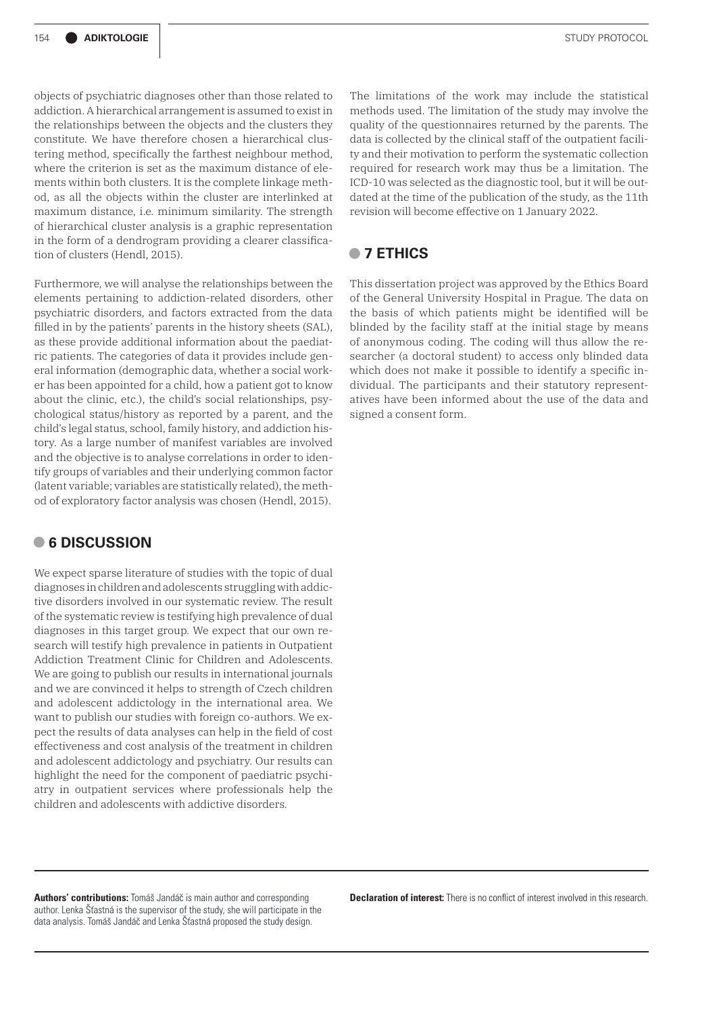objects of psychiatric diagnoses other than those related to addiction. A hierarchical arrangement is assumed to exist in the relationships between the objects and the clusters they constitute. We have therefore chosen a hierarchical clustering method, specifically the farthest neighbour method, where the criterion is set as the maximum distance of elements within both clusters. It is the complete linkage method, as all the objects within the cluster are interlinked at maximum distance, i.e. minimum similarity. The strength of hierarchical cluster analysis is a graphic representation in the form of a dendrogram providing a clearer classification of clusters (Hendl, 2015).

Furthermore, we will analyse the relationships between the elements pertaining to addiction-related disorders, other psychiatric disorders, and factors extracted from the data filled in by the patients' parents in the history sheets (SAL), as these provide additional information about the paediatric patients. The categories of data it provides include general information (demographic data, whether a social worker has been appointed for a child, how a patient got to know about the clinic, etc.), the child's social relationships, psychological status/history as reported by a parent, and the child's legal status, school, family history, and addiction history. As a large number of manifest variables are involved and the objective is to analyse correlations in order to identify groups of variables and their underlying common factor (latent variable; variables are statistically related), the method of exploratory factor analysis was chosen (Hendl, 2015).

### **• 6 DISCUSSION**

We expect sparse literature of studies with the topic of dual diagnoses in children and adolescents struggling with addictive disorders involved in our systematic review. The result of the systematic review is testifying high prevalence of dual diagnoses in this target group. We expect that our own research will testify high prevalence in patients in Outpatient Addiction Treatment Clinic for Children and Adolescents. We are going to publish our results in international journals and we are convinced it helps to strength of Czech children and adolescent addictology in the international area. We want to publish our studies with foreign co-authors. We expect the results of data analyses can help in the field of cost effectiveness and cost analysis of the treatment in children and adolescent addictology and psychiatry. Our results can highlight the need for the component of paediatric psychiatry in outpatient services where professionals help the children and adolescents with addictive disorders.

The limitations of the work may include the statistical methods used. The limitation of the study may involve the quality of the questionnaires returned by the parents. The data is collected by the clinical staff of the outpatient facility and their motivation to perform the systematic collection required for research work may thus be a limitation. The ICD-10 was selected as the diagnostic tool, but it will be outdated at the time of the publication of the study, as the 11th revision will become effective on 1 January 2022.

## **• 7 ETHICS**

This dissertation project was approved by the Ethics Board of the General University Hospital in Prague. The data on the basis of which patients might be identified will be blinded by the facility staff at the initial stage by means of anonymous coding. The coding will thus allow the researcher (a doctoral student) to access only blinded data which does not make it possible to identify a specific individual. The participants and their statutory representatives have been informed about the use of the data and signed a consent form.

**Declaration of interest:** There is no conflict of interest involved in this research.

**Authors' contributions:** Tomáš Jandáč is main author and corresponding author. Lenka Šťastná is the supervisor of the study, she will participate in the data analysis. Tomáš Jandáč and Lenka Šťastná proposed the study design.